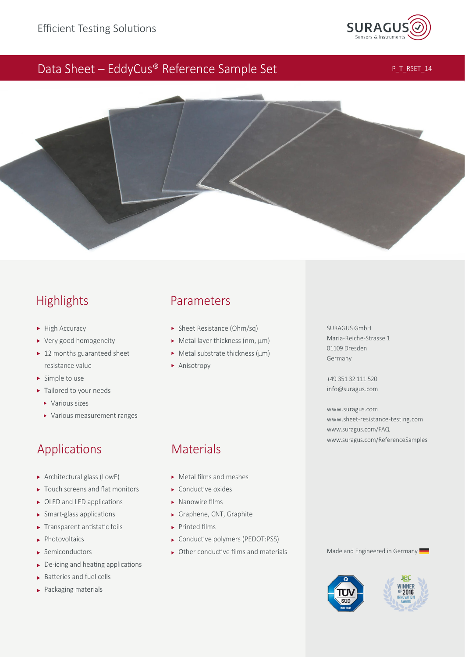

## Data Sheet – EddyCus® Reference Sample Set

P\_T\_RSET\_14



# Highlights

- $\blacktriangleright$  High Accuracy
- Very good homogeneity
- ▶ 12 months guaranteed sheet resistance value
- ▶ Simple to use
- $\blacktriangleright$  Tailored to your needs
	- ▶ Various sizes
	- Various measurement ranges

# Applications

- Architectural glass (LowE)
- $\blacktriangleright$  Touch screens and flat monitors
- $\triangleright$  OLED and LED applications
- $\triangleright$  Smart-glass applications
- $\blacktriangleright$  Transparent antistatic foils
- **Photovoltaics**
- Semiconductors
- $\triangleright$  De-icing and heating applications
- $\blacktriangleright$  Batteries and fuel cells
- Packaging materials

### Parameters

- Sheet Resistance (Ohm/sq)
- ► Metal layer thickness (nm, µm)
- $\triangleright$  Metal substrate thickness ( $\mu$ m)
- **Anisotropy**

### 01109 Dresden Germany +49 351 32 111 520

[info@suragus.com](mailto:info@suragus.com)

SURAGUS GmbH Maria-Reiche-Strasse 1

[www.suragus.com](https://www.suragus.com) [www.sheet-resistance-testing.com](https://www.sheet-resistance-measurement.com) [www.suragus.com/FAQ](https://www.suragus.com/en/about-us/faq/) [www.suragus.com/ReferenceSamples](https://www.suragus.com/en/products/thin-film-characterization/sheet-resistance/eddycus-tf-map-2525sr/)

# **Materials**

- Metal films and meshes
- $\triangleright$  Conductive oxides
- $\triangleright$  Nanowire films
- Graphene, CNT, Graphite
- $\blacktriangleright$  Printed films
- ▶ Conductive polymers (PEDOT:PSS)
- $\triangleright$  Other conductive films and materials Made and Engineered in Germany